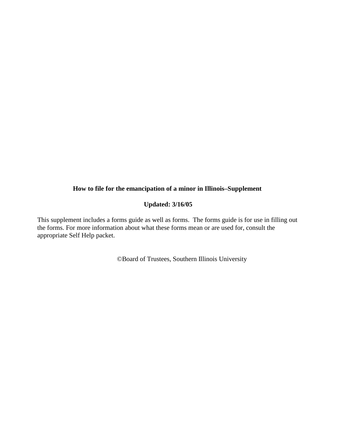#### **How to file for the emancipation of a minor in Illinois–Supplement**

#### **Updated: 3/16/05**

This supplement includes a forms guide as well as forms. The forms guide is for use in filling out the forms. For more information about what these forms mean or are used for, consult the appropriate Self Help packet.

©Board of Trustees, Southern Illinois University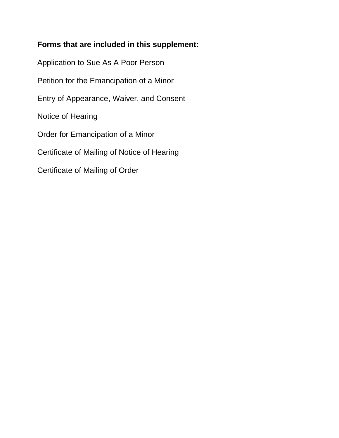# **Forms that are included in this supplement:**

Application to Sue As A Poor Person Petition for the Emancipation of a Minor Entry of Appearance, Waiver, and Consent Notice of Hearing Order for Emancipation of a Minor Certificate of Mailing of Notice of Hearing Certificate of Mailing of Order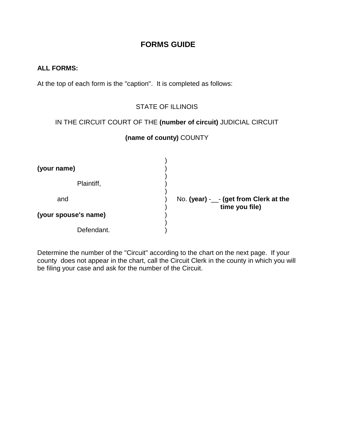# **FORMS GUIDE**

#### **ALL FORMS:**

At the top of each form is the "caption". It is completed as follows:

## STATE OF ILLINOIS

#### IN THE CIRCUIT COURT OF THE **(number of circuit)** JUDICIAL CIRCUIT

# **(name of county)** COUNTY

| (your name)          |                                        |
|----------------------|----------------------------------------|
| Plaintiff,           |                                        |
| and                  | No. (year) -__- (get from Clerk at the |
| (your spouse's name) | time you file)                         |
| Defendant.           |                                        |

Determine the number of the "Circuit" according to the chart on the next page. If your county does not appear in the chart, call the Circuit Clerk in the county in which you will be filing your case and ask for the number of the Circuit.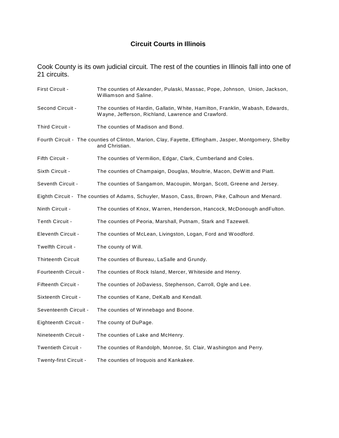# **Circuit Courts in Illinois**

Cook County is its own judicial circuit. The rest of the counties in Illinois fall into one of 21 circuits.

| First Circuit -                                                                                                          | The counties of Alexander, Pulaski, Massac, Pope, Johnson, Union, Jackson,<br>Williamson and Saline.                                |
|--------------------------------------------------------------------------------------------------------------------------|-------------------------------------------------------------------------------------------------------------------------------------|
| Second Circuit -                                                                                                         | The counties of Hardin, Gallatin, White, Hamilton, Franklin, Wabash, Edwards,<br>Wayne, Jefferson, Richland, Lawrence and Crawford. |
| Third Circuit -                                                                                                          | The counties of Madison and Bond.                                                                                                   |
| Fourth Circuit - The counties of Clinton, Marion, Clay, Fayette, Effingham, Jasper, Montgomery, Shelby<br>and Christian. |                                                                                                                                     |
| Fifth Circuit -                                                                                                          | The counties of Vermilion, Edgar, Clark, Cumberland and Coles.                                                                      |
| Sixth Circuit -                                                                                                          | The counties of Champaign, Douglas, Moultrie, Macon, DeWitt and Piatt.                                                              |
| Seventh Circuit -                                                                                                        | The counties of Sangamon, Macoupin, Morgan, Scott, Greene and Jersey.                                                               |
|                                                                                                                          | Eighth Circuit - The counties of Adams, Schuyler, Mason, Cass, Brown, Pike, Calhoun and Menard.                                     |
| Ninth Circuit -                                                                                                          | The counties of Knox, Warren, Henderson, Hancock, McDonough andFulton.                                                              |
| Tenth Circuit -                                                                                                          | The counties of Peoria, Marshall, Putnam, Stark and Tazewell.                                                                       |
| <b>Eleventh Circuit -</b>                                                                                                | The counties of McLean, Livingston, Logan, Ford and Woodford.                                                                       |
| Twelfth Circuit -                                                                                                        | The county of Will.                                                                                                                 |
| <b>Thirteenth Circuit</b>                                                                                                | The counties of Bureau, LaSalle and Grundy.                                                                                         |
| <b>Fourteenth Circuit -</b>                                                                                              | The counties of Rock Island, Mercer, Whiteside and Henry.                                                                           |
| Fifteenth Circuit -                                                                                                      | The counties of JoDaviess, Stephenson, Carroll, Ogle and Lee.                                                                       |
| Sixteenth Circuit -                                                                                                      | The counties of Kane, DeKalb and Kendall.                                                                                           |
| Seventeenth Circuit -                                                                                                    | The counties of Winnebago and Boone.                                                                                                |
| Eighteenth Circuit -                                                                                                     | The county of DuPage.                                                                                                               |
| Nineteenth Circuit -                                                                                                     | The counties of Lake and McHenry.                                                                                                   |
| Twentieth Circuit -                                                                                                      | The counties of Randolph, Monroe, St. Clair, Washington and Perry.                                                                  |
| Twenty-first Circuit -                                                                                                   | The counties of Iroquois and Kankakee.                                                                                              |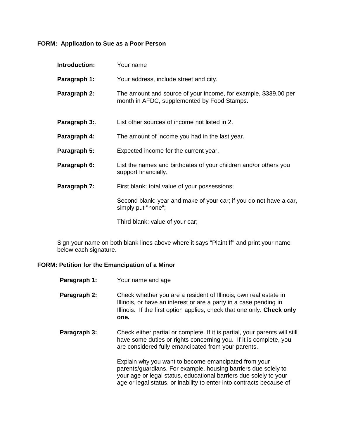# **FORM: Application to Sue as a Poor Person**

| Introduction: | Your name                                                                                                      |
|---------------|----------------------------------------------------------------------------------------------------------------|
| Paragraph 1:  | Your address, include street and city.                                                                         |
| Paragraph 2:  | The amount and source of your income, for example, \$339.00 per<br>month in AFDC, supplemented by Food Stamps. |
| Paragraph 3:. | List other sources of income not listed in 2.                                                                  |
| Paragraph 4:  | The amount of income you had in the last year.                                                                 |
| Paragraph 5:  | Expected income for the current year.                                                                          |
| Paragraph 6:  | List the names and birthdates of your children and/or others you<br>support financially.                       |
| Paragraph 7:  | First blank: total value of your possessions;                                                                  |
|               | Second blank: year and make of your car; if you do not have a car,<br>simply put "none";                       |
|               |                                                                                                                |

Third blank: value of your car;

Sign your name on both blank lines above where it says "Plaintiff" and print your name below each signature.

#### **FORM: Petition for the Emancipation of a Minor**

| Paragraph 1: | Your name and age                                                                                                                                                                                                                                                   |
|--------------|---------------------------------------------------------------------------------------------------------------------------------------------------------------------------------------------------------------------------------------------------------------------|
| Paragraph 2: | Check whether you are a resident of Illinois, own real estate in<br>Illinois, or have an interest or are a party in a case pending in<br>Illinois. If the first option applies, check that one only. Check only<br>one.                                             |
| Paragraph 3: | Check either partial or complete. If it is partial, your parents will still<br>have some duties or rights concerning you. If it is complete, you<br>are considered fully emancipated from your parents.                                                             |
|              | Explain why you want to become emancipated from your<br>parents/guardians. For example, housing barriers due solely to<br>your age or legal status, educational barriers due solely to your<br>age or legal status, or inability to enter into contracts because of |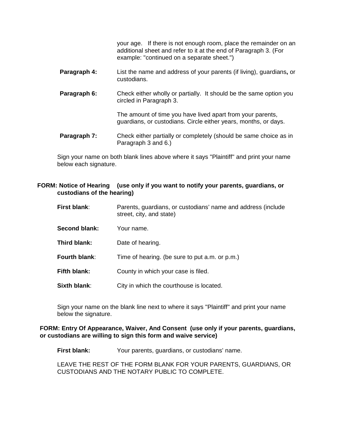your age. If there is not enough room, place the remainder on an additional sheet and refer to it at the end of Paragraph 3. (For example: "continued on a separate sheet.")

- **Paragraph 4:** List the name and address of your parents (if living), guardians**,** or custodians.
- **Paragraph 6:** Check either wholly or partially. It should be the same option you circled in Paragraph 3.

The amount of time you have lived apart from your parents, guardians, or custodians. Circle either years, months, or days.

**Paragraph 7:** Check either partially or completely (should be same choice as in Paragraph 3 and 6.)

Sign your name on both blank lines above where it says "Plaintiff" and print your name below each signature.

#### **FORM: Notice of Hearing (use only if you want to notify your parents, guardians, or custodians of the hearing)**

| First blank: | Parents, guardians, or custodians' name and address (include<br>street, city, and state) |
|--------------|------------------------------------------------------------------------------------------|
|              |                                                                                          |

- **Second blank:** Your name.
- **Third blank:** Date of hearing.
- **Fourth blank:** Time of hearing. (be sure to put a.m. or p.m.)
- **Fifth blank:** County in which your case is filed.

**Sixth blank:** City in which the courthouse is located.

Sign your name on the blank line next to where it says "Plaintiff" and print your name below the signature.

#### **FORM: Entry Of Appearance, Waiver, And Consent (use only if your parents, guardians, or custodians are willing to sign this form and waive service)**

**First blank:** Your parents, guardians, or custodians' name.

LEAVE THE REST OF THE FORM BLANK FOR YOUR PARENTS, GUARDIANS, OR CUSTODIANS AND THE NOTARY PUBLIC TO COMPLETE.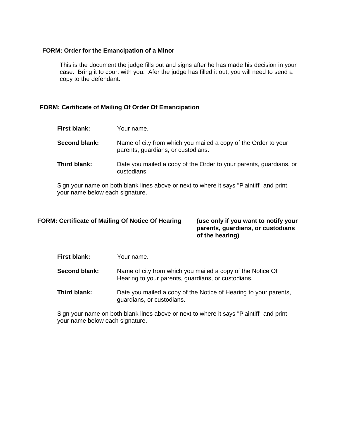#### **FORM: Order for the Emancipation of a Minor**

This is the document the judge fills out and signs after he has made his decision in your case. Bring it to court with you. Afer the judge has filled it out, you will need to send a copy to the defendant.

#### **FORM: Certificate of Mailing Of Order Of Emancipation**

| First blank:  | Your name.                                                                                           |
|---------------|------------------------------------------------------------------------------------------------------|
| Second blank: | Name of city from which you mailed a copy of the Order to your<br>parents, guardians, or custodians. |
| Third blank:  | Date you mailed a copy of the Order to your parents, guardians, or<br>custodians.                    |

Sign your name on both blank lines above or next to where it says "Plaintiff" and print your name below each signature.

# FORM: Certificate of Mailing Of Notice Of Hearing (use only if you want to notify your

**parents, guardians, or custodians of the hearing)**

| First blank:  | Your name.                                                                                                       |
|---------------|------------------------------------------------------------------------------------------------------------------|
| Second blank: | Name of city from which you mailed a copy of the Notice Of<br>Hearing to your parents, guardians, or custodians. |
| Third blank:  | Date you mailed a copy of the Notice of Hearing to your parents,<br>guardians, or custodians.                    |

Sign your name on both blank lines above or next to where it says "Plaintiff" and print your name below each signature.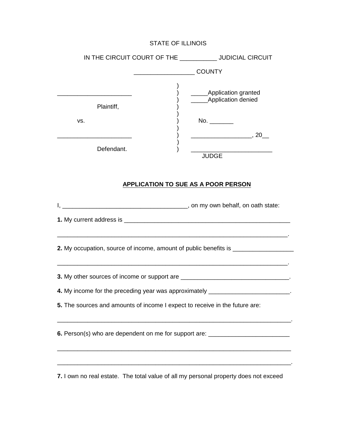| IN THE CIRCUIT COURT OF THE ___________ JUDICIAL CIRCUIT                                                                                                                                                      |                                                                                                             |
|---------------------------------------------------------------------------------------------------------------------------------------------------------------------------------------------------------------|-------------------------------------------------------------------------------------------------------------|
|                                                                                                                                                                                                               |                                                                                                             |
| <u> 1989 - Johann Barbara, martxa alemaniar a</u><br>Plaintiff,<br>VS.                                                                                                                                        | _____Application granted<br>_____Application denied<br>No. $\frac{1}{\sqrt{1-\frac{1}{2}}\cdot\frac{1}{2}}$ |
| Defendant.                                                                                                                                                                                                    | <b>JUDGE</b>                                                                                                |
|                                                                                                                                                                                                               | <b>APPLICATION TO SUE AS A POOR PERSON</b>                                                                  |
|                                                                                                                                                                                                               |                                                                                                             |
|                                                                                                                                                                                                               |                                                                                                             |
| 2. My occupation, source of income, amount of public benefits is _______________                                                                                                                              | <u> 1989 - Johann Stoff, amerikansk politiker (d. 1989)</u>                                                 |
| 3. My other sources of income or support are _________________________________.                                                                                                                               |                                                                                                             |
| 4. My income for the preceding year was approximately _________________________.                                                                                                                              |                                                                                                             |
| 5. The sources and amounts of income I expect to receive in the future are:                                                                                                                                   |                                                                                                             |
| 6. Person(s) who are dependent on me for support are: __________________________                                                                                                                              |                                                                                                             |
| <u> 1989 - Johann Stoff, deutscher Stoff, der Stoff, der Stoff, der Stoff, der Stoff, der Stoff, der Stoff, der S</u><br>7. I own no real estate. The total value of all my personal property does not exceed |                                                                                                             |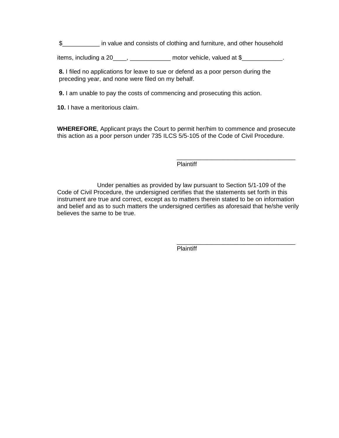\$\_\_\_\_\_\_\_\_\_\_\_ in value and consists of clothing and furniture, and other household

items, including a 20\_\_\_\_, \_\_\_\_\_\_\_\_\_\_\_\_\_ motor vehicle, valued at \$\_\_\_\_\_\_\_\_\_\_\_\_\_.

 **8.** I filed no applications for leave to sue or defend as a poor person during the preceding year, and none were filed on my behalf.

 **9.** I am unable to pay the costs of commencing and prosecuting this action.

**10.** I have a meritorious claim.

**WHEREFORE**, Applicant prays the Court to permit her/him to commence and prosecute this action as a poor person under 735 ILCS 5/5-105 of the Code of Civil Procedure.

Plaintiff

\_\_\_\_\_\_\_\_\_\_\_\_\_\_\_\_\_\_\_\_\_\_\_\_\_\_\_\_\_\_\_\_\_\_\_

Under penalties as provided by law pursuant to Section 5/1-109 of the Code of Civil Procedure, the undersigned certifies that the statements set forth in this instrument are true and correct, except as to matters therein stated to be on information and belief and as to such matters the undersigned certifies as aforesaid that he/she verily believes the same to be true.

> \_\_\_\_\_\_\_\_\_\_\_\_\_\_\_\_\_\_\_\_\_\_\_\_\_\_\_\_\_\_\_\_\_\_\_ Plaintiff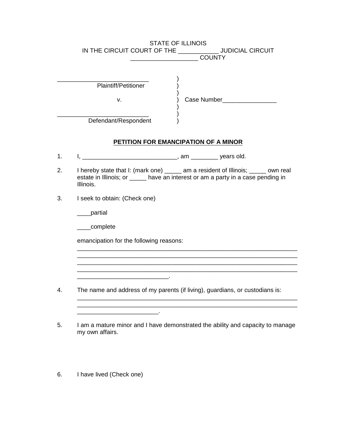|    |                                                           | <b>STATE OF ILLINOIS</b><br>IN THE CIRCUIT COURT OF THE ______________ JUDICIAL CIRCUIT<br><b>COUNTY</b>                                                             |
|----|-----------------------------------------------------------|----------------------------------------------------------------------------------------------------------------------------------------------------------------------|
|    | <b>Plaintiff/Petitioner</b><br>v.<br>Defendant/Respondent |                                                                                                                                                                      |
|    |                                                           | PETITION FOR EMANCIPATION OF A MINOR                                                                                                                                 |
| 1. |                                                           |                                                                                                                                                                      |
| 2. | Illinois.                                                 | I hereby state that I: (mark one) _____ am a resident of Illinois; ____ own real<br>estate in Illinois; or _____ have an interest or am a party in a case pending in |
| 3. | I seek to obtain: (Check one)                             |                                                                                                                                                                      |
|    | ___partial                                                |                                                                                                                                                                      |
|    | ___complete                                               |                                                                                                                                                                      |
|    | emancipation for the following reasons:                   |                                                                                                                                                                      |
|    |                                                           |                                                                                                                                                                      |
|    |                                                           |                                                                                                                                                                      |
| 4. |                                                           | The name and address of my parents (if living), guardians, or custodians is:                                                                                         |
|    |                                                           |                                                                                                                                                                      |
| 5. |                                                           | I am a mature minor and I have demonstrated the ability and capacity to manage                                                                                       |

my own affairs.

6. I have lived (Check one)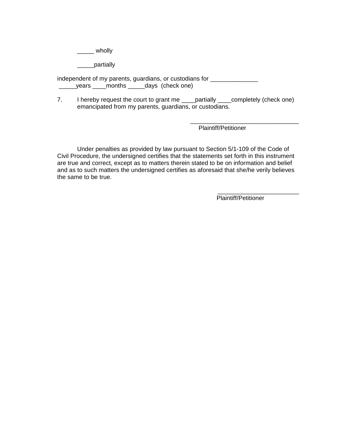$\sqrt{2}$  wholly

\_\_\_\_\_partially

independent of my parents, guardians, or custodians for \_\_\_\_\_\_\_\_\_\_\_\_\_\_\_\_\_\_\_\_\_\_\_\_ \_\_\_\_\_years \_\_\_\_months \_\_\_\_\_days (check one)

7. I hereby request the court to grant me \_\_\_\_partially \_\_\_\_completely (check one) emancipated from my parents, guardians, or custodians.

> \_\_\_\_\_\_\_\_\_\_\_\_\_\_\_\_\_\_\_\_\_\_\_\_\_\_\_\_\_\_\_\_ Plaintiff/Petitioner

Under penalties as provided by law pursuant to Section 5/1-109 of the Code of Civil Procedure, the undersigned certifies that the statements set forth in this instrument are true and correct, except as to matters therein stated to be on information and belief and as to such matters the undersigned certifies as aforesaid that she/he verily believes the same to be true.

Plaintiff/Petitioner

\_\_\_\_\_\_\_\_\_\_\_\_\_\_\_\_\_\_\_\_\_\_\_\_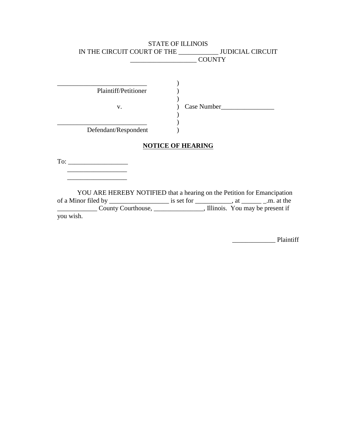|                      | <b>STATE OF ILLINOIS</b>                                                |
|----------------------|-------------------------------------------------------------------------|
|                      | IN THE CIRCUIT COURT OF THE _____________ JUDICIAL CIRCUIT              |
|                      | COUNTY                                                                  |
|                      |                                                                         |
|                      |                                                                         |
|                      |                                                                         |
| Plaintiff/Petitioner |                                                                         |
|                      |                                                                         |
| V.                   |                                                                         |
|                      |                                                                         |
|                      |                                                                         |
| Defendant/Respondent |                                                                         |
|                      |                                                                         |
|                      | <b>NOTICE OF HEARING</b>                                                |
|                      |                                                                         |
|                      |                                                                         |
|                      |                                                                         |
|                      |                                                                         |
|                      |                                                                         |
|                      | YOU ARE HEREBY NOTIFIED that a hearing on the Petition for Emancipation |
|                      |                                                                         |
|                      |                                                                         |
| you wish.            |                                                                         |

\_\_\_\_\_\_\_\_\_\_\_\_\_ Plaintiff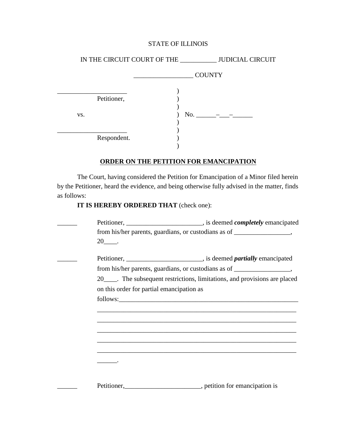|                    | IN THE CIRCUIT COURT OF THE _____________ JUDICIAL CIRCUIT |
|--------------------|------------------------------------------------------------|
|                    | <b>COUNTY</b>                                              |
| Petitioner,<br>VS. |                                                            |
| Respondent.        |                                                            |

# **ORDER ON THE PETITION FOR EMANCIPATION**

The Court, having considered the Petition for Emancipation of a Minor filed herein by the Petitioner, heard the evidence, and being otherwise fully advised in the matter, finds as follows:

# **IT IS HEREBY ORDERED THAT** (check one):

|                                           | from his/her parents, guardians, or custodians as of ____________________________                                     |
|-------------------------------------------|-----------------------------------------------------------------------------------------------------------------------|
| 20 .                                      |                                                                                                                       |
|                                           |                                                                                                                       |
|                                           | from his/her parents, guardians, or custodians as of _____________________,                                           |
|                                           | 20_____. The subsequent restrictions, limitations, and provisions are placed                                          |
| on this order for partial emancipation as |                                                                                                                       |
|                                           |                                                                                                                       |
|                                           | <u> 1989 - John Harry Harry Harry Harry Harry Harry Harry Harry Harry Harry Harry Harry Harry Harry Harry Harry H</u> |
|                                           |                                                                                                                       |
|                                           | ,我们也不能在这里的,我们也不能在这里的时候,我们也不能在这里的时候,我们也不能会不能在这里的时候,我们也不能会不能会不能会不能会不能会不能会不能会不能会不能会                                      |
|                                           | ,我们也不能在这里的时候,我们也不能在这里的时候,我们也不能在这里的时候,我们也不能会在这里的时候,我们也不能会在这里的时候,我们也不能会在这里的时候,我们也不能                                     |
|                                           |                                                                                                                       |
|                                           |                                                                                                                       |
|                                           |                                                                                                                       |
|                                           |                                                                                                                       |
|                                           | Petitioner, petition for emancipation is                                                                              |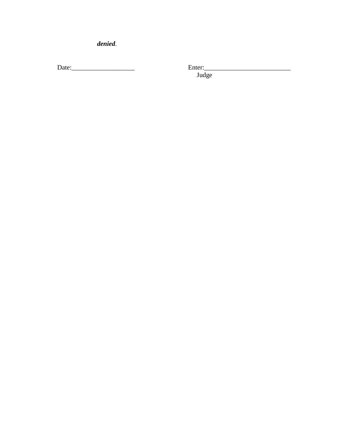denied.

Judge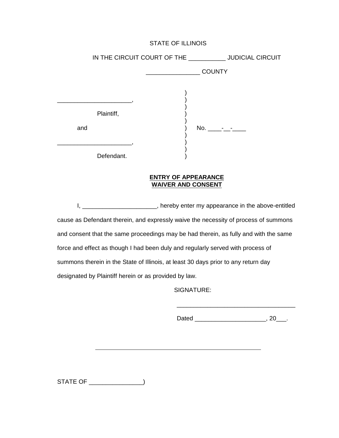IN THE CIRCUIT COURT OF THE \_\_\_\_\_\_\_\_\_\_\_ JUDICIAL CIRCUIT \_\_\_\_\_\_\_\_\_\_\_\_\_\_\_\_ COUNTY )  $\qquad \qquad$  )  $\left\{ \right\}$ Plaintiff, ) )<br>) and  $)$  No.  $-$ ) \_\_\_\_\_\_\_\_\_\_\_\_\_\_\_\_\_\_\_\_\_\_, ) ) Defendant.

#### **ENTRY OF APPEARANCE WAIVER AND CONSENT**

I, \_\_\_\_\_\_\_\_\_\_\_\_\_\_\_\_\_\_\_\_\_\_\_, hereby enter my appearance in the above-entitled cause as Defendant therein, and expressly waive the necessity of process of summons and consent that the same proceedings may be had therein, as fully and with the same force and effect as though I had been duly and regularly served with process of summons therein in the State of Illinois, at least 30 days prior to any return day designated by Plaintiff herein or as provided by law.

SIGNATURE:

Dated \_\_\_\_\_\_\_\_\_\_\_\_\_\_\_\_\_\_\_\_\_\_\_, 20\_\_\_.

\_\_\_\_\_\_\_\_\_\_\_\_\_\_\_\_\_\_\_\_\_\_\_\_\_\_\_\_\_\_\_\_\_\_\_

STATE OF \_\_\_\_\_\_\_\_\_\_\_\_\_\_\_\_)

 $\overline{a}$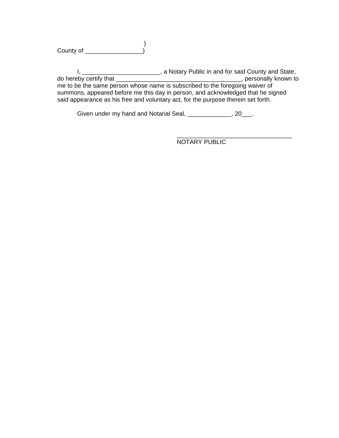$\overline{\phantom{a}}$ County of \_\_\_\_\_\_\_\_\_\_\_\_\_\_\_\_\_)

I, \_\_\_\_\_\_\_\_\_\_\_\_\_\_\_\_\_\_\_\_\_\_\_\_\_, a Notary Public in and for said County and State, do hereby certify that \_\_\_\_\_\_\_\_\_\_\_\_\_\_\_\_\_\_\_\_\_\_\_\_\_\_\_\_\_\_\_\_\_\_\_\_\_, personally known to me to be the same person whose name is subscribed to the foregoing waiver of summons, appeared before me this day in person, and acknowledged that he signed said appearance as his free and voluntary act, for the purpose therein set forth.

Given under my hand and Notarial Seal, \_\_\_\_\_\_\_\_\_\_\_\_\_, 20\_\_\_.

\_\_\_\_\_\_\_\_\_\_\_\_\_\_\_\_\_\_\_\_\_\_\_\_\_\_\_\_\_\_\_\_\_\_ NOTARY PUBLIC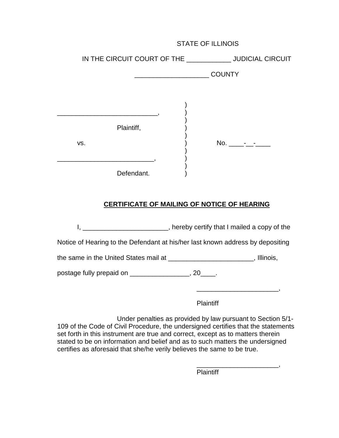|     | IN THE CIRCUIT COURT OF THE _______________ JUDICIAL CIRCUIT |  |               |
|-----|--------------------------------------------------------------|--|---------------|
|     |                                                              |  | <b>COUNTY</b> |
|     |                                                              |  |               |
|     |                                                              |  |               |
|     | Plaintiff,                                                   |  |               |
| VS. |                                                              |  |               |
|     |                                                              |  |               |
|     | Defendant.                                                   |  |               |

# **CERTIFICATE OF MAILING OF NOTICE OF HEARING**

I, \_\_\_\_\_\_\_\_\_\_\_\_\_\_\_\_\_\_\_\_\_\_\_\_, hereby certify that I mailed a copy of the

Notice of Hearing to the Defendant at his/her last known address by depositing

the same in the United States mail at \_\_\_\_\_\_\_\_\_\_\_\_\_\_\_\_\_\_\_\_\_\_\_, Illinois,

postage fully prepaid on \_\_\_\_\_\_\_\_\_\_\_\_\_\_\_\_\_, 20\_\_\_\_.

Plaintiff

\_\_\_\_\_\_\_\_\_\_\_\_\_\_\_\_\_\_\_\_\_\_,

Under penalties as provided by law pursuant to Section 5/1- 109 of the Code of Civil Procedure, the undersigned certifies that the statements set forth in this instrument are true and correct, except as to matters therein stated to be on information and belief and as to such matters the undersigned certifies as aforesaid that she/he verily believes the same to be true.

> \_\_\_\_\_\_\_\_\_\_\_\_\_\_\_\_\_\_\_\_\_\_, Plaintiff